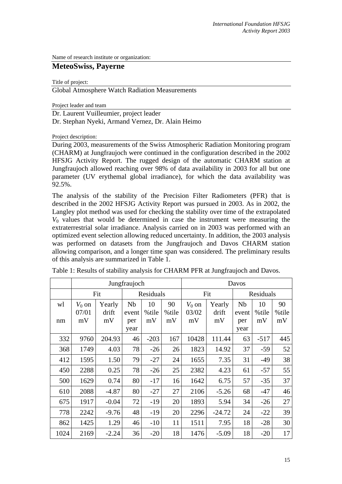Name of research institute or organization:

# **MeteoSwiss, Payerne**

Title of project:

Global Atmosphere Watch Radiation Measurements

Project leader and team

Dr. Laurent Vuilleumier, project leader Dr. Stephan Nyeki, Armand Vernez, Dr. Alain Heimo

Project description:

During 2003, measurements of the Swiss Atmospheric Radiation Monitoring program (CHARM) at Jungfraujoch were continued in the configuration described in the 2002 HFSJG Activity Report. The rugged design of the automatic CHARM station at Jungfraujoch allowed reaching over 98% of data availability in 2003 for all but one parameter (UV erythemal global irradiance), for which the data availability was 92.5%.

The analysis of the stability of the Precision Filter Radiometers (PFR) that is described in the 2002 HFSJG Activity Report was pursued in 2003. As in 2002, the Langley plot method was used for checking the stability over time of the extrapolated  $V_0$  values that would be determined in case the instrument were measuring the extraterrestrial solar irradiance. Analysis carried on in 2003 was performed with an optimized event selection allowing reduced uncertainty. In addition, the 2003 analysis was performed on datasets from the Jungfraujoch and Davos CHARM station allowing comparison, and a longer time span was considered. The preliminary results of this analysis are summarized in Table 1.

|      | Jungfraujoch |         |           |        |       | Davos    |          |           |        |       |
|------|--------------|---------|-----------|--------|-------|----------|----------|-----------|--------|-------|
|      | Fit          |         | Residuals |        |       | Fit      |          | Residuals |        |       |
| wl   | $V_0$ on     | Yearly  | <b>Nb</b> | 10     | 90    | $V_0$ on | Yearly   | <b>Nb</b> | 10     | 90    |
|      | 07/01        | drift   | event     | %tile  | %tile | 03/02    | drift    | event     | %tile  | %tile |
| nm   | mV           | mV      | per       | mV     | mV    | mV       | mV       | per       | mV     | mV    |
|      |              |         | year      |        |       |          |          | year      |        |       |
| 332  | 9760         | 204.93  | 46        | $-203$ | 167   | 10428    | 111.44   | 63        | $-517$ | 445   |
| 368  | 1749         | 4.03    | 78        | $-26$  | 26    | 1823     | 14.92    | 37        | $-59$  | 52    |
| 412  | 1595         | 1.50    | 79        | $-27$  | 24    | 1655     | 7.35     | 31        | $-49$  | 38    |
| 450  | 2288         | 0.25    | 78        | $-26$  | 25    | 2382     | 4.23     | 61        | $-57$  | 55    |
| 500  | 1629         | 0.74    | 80        | $-17$  | 16    | 1642     | 6.75     | 57        | $-35$  | 37    |
| 610  | 2088         | $-4.87$ | 80        | $-27$  | 27    | 2106     | $-5.26$  | 68        | $-47$  | 46    |
| 675  | 1917         | $-0.04$ | 72        | $-19$  | 20    | 1893     | 5.94     | 34        | $-26$  | 27    |
| 778  | 2242         | $-9.76$ | 48        | $-19$  | 20    | 2296     | $-24.72$ | 24        | $-22$  | 39    |
| 862  | 1425         | 1.29    | 46        | $-10$  | 11    | 1511     | 7.95     | 18        | $-28$  | 30    |
| 1024 | 2169         | $-2.24$ | 36        | $-20$  | 18    | 1476     | $-5.09$  | 18        | $-20$  | 17    |

Table 1: Results of stability analysis for CHARM PFR at Jungfraujoch and Davos.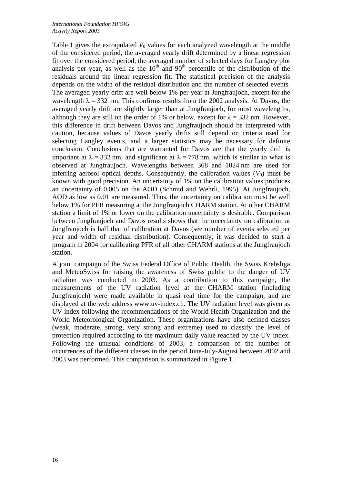Table 1 gives the extrapolated  $V_0$  values for each analyzed wavelength at the middle of the considered period, the averaged yearly drift determined by a linear regression fit over the considered period, the averaged number of selected days for Langley plot analysis per year, as well as the  $10<sup>th</sup>$  and  $90<sup>th</sup>$  percentile of the distribution of the residuals around the linear regression fit. The statistical precision of the analysis depends on the width of the residual distribution and the number of selected events. The averaged yearly drift are well below 1% per year at Jungfraujoch, except for the wavelength  $\lambda = 332$  nm. This confirms results from the 2002 analysis. At Davos, the averaged yearly drift are slightly larger than at Jungfraujoch, for most wavelengths, although they are still on the order of 1% or below, except for  $\lambda = 332$  nm. However, this difference in drift between Davos and Jungfraujoch should be interpreted with caution, because values of Davos yearly drifts still depend on criteria used for selecting Langley events, and a larger statistics may be necessary for definite conclusion. Conclusions that are warranted for Davos are that the yearly drift is important at  $\lambda = 332$  nm, and significant at  $\lambda = 778$  nm, which is similar to what is observed at Jungfraujoch. Wavelengths between 368 and 1024 nm are used for inferring aerosol optical depths. Consequently, the calibration values  $(V_0)$  must be known with good precision. An uncertainty of 1% on the calibration values produces an uncertainty of 0.005 on the AOD (Schmid and Wehrli, 1995). At Jungfraujoch, AOD as low as 0.01 are measured. Thus, the uncertainty on calibration must be well below 1% for PFR measuring at the Jungfraujoch CHARM station. At other CHARM station a limit of 1% or lower on the calibration uncertainty is desirable. Comparison between Jungfraujoch and Davos results shows that the uncertainty on calibration at Jungfraujoch is half that of calibration at Davos (see number of events selected per year and width of residual distribution). Consequently, it was decided to start a program in 2004 for calibrating PFR of all other CHARM stations at the Jungfraujoch station.

A joint campaign of the Swiss Federal Office of Public Health, the Swiss Krebsliga and MeteoSwiss for raising the awareness of Swiss public to the danger of UV radiation was conducted in 2003. As a contribution to this campaign, the measurements of the UV radiation level at the CHARM station (including Jungfraujoch) were made available in quasi real time for the campaign, and are displayed at the web address www.uv-index.ch. The UV radiation level was given as UV index following the recommendations of the World Health Organization and the World Meteorological Organization. These organizations have also defined classes (weak, moderate, strong, very strong and extreme) used to classify the level of protection required according to the maximum daily value reached by the UV index. Following the unusual conditions of 2003, a comparison of the number of occurrences of the different classes in the period June-July-August between 2002 and 2003 was performed. This comparison is summarized in Figure 1.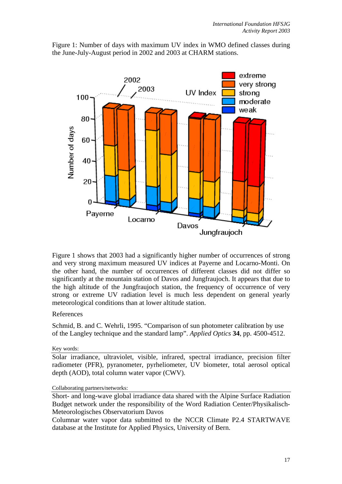

Figure 1: Number of days with maximum UV index in WMO defined classes during the June-July-August period in 2002 and 2003 at CHARM stations.

Figure 1 shows that 2003 had a significantly higher number of occurrences of strong and very strong maximum measured UV indices at Payerne and Locarno-Monti. On the other hand, the number of occurrences of different classes did not differ so significantly at the mountain station of Davos and Jungfraujoch. It appears that due to the high altitude of the Jungfraujoch station, the frequency of occurrence of very strong or extreme UV radiation level is much less dependent on general yearly meteorological conditions than at lower altitude station.

## References

Schmid, B. and C. Wehrli, 1995. "Comparison of sun photometer calibration by use of the Langley technique and the standard lamp". *Applied Optics* **34**, pp. 4500-4512.

Key words:

Solar irradiance, ultraviolet, visible, infrared, spectral irradiance, precision filter radiometer (PFR), pyranometer, pyrheliometer, UV biometer, total aerosol optical depth (AOD), total column water vapor (CWV).

### Collaborating partners/networks:

Short- and long-wave global irradiance data shared with the Alpine Surface Radiation Budget network under the responsibility of the Word Radiation Center/Physikalisch-Meteorologisches Observatorium Davos

Columnar water vapor data submitted to the NCCR Climate P2.4 STARTWAVE database at the Institute for Applied Physics, University of Bern.